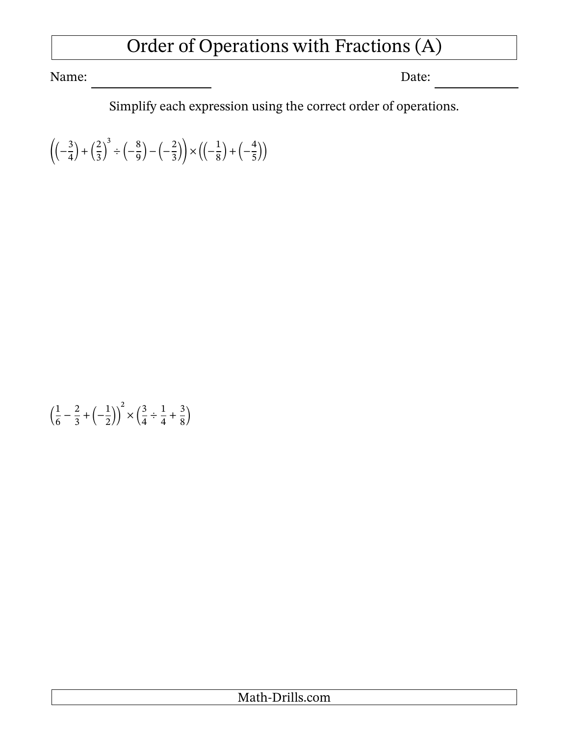## Order of Operations with Fractions (A)

Name: Date:

Simplify each expression using the correct order of operations.

 $\left(\frac{3}{4}\right)$  $\frac{3}{4}$ ) +  $\left(\frac{2}{3}\right)$  $\frac{2}{3}$ 3  $\div(-\frac{8}{8})$  $\left(\frac{8}{9}\right) - \left(-\frac{2}{3}\right)$  $\left(\frac{2}{3}\right)\times\left(\left(-\frac{1}{8}\right)\right)$  $\frac{1}{8}$  +  $\left(-\frac{4}{5}\right)$  $\frac{1}{5})$ 

$$
\left(\frac{1}{6} - \frac{2}{3} + \left(-\frac{1}{2}\right)\right)^2 \times \left(\frac{3}{4} \div \frac{1}{4} + \frac{3}{8}\right)
$$